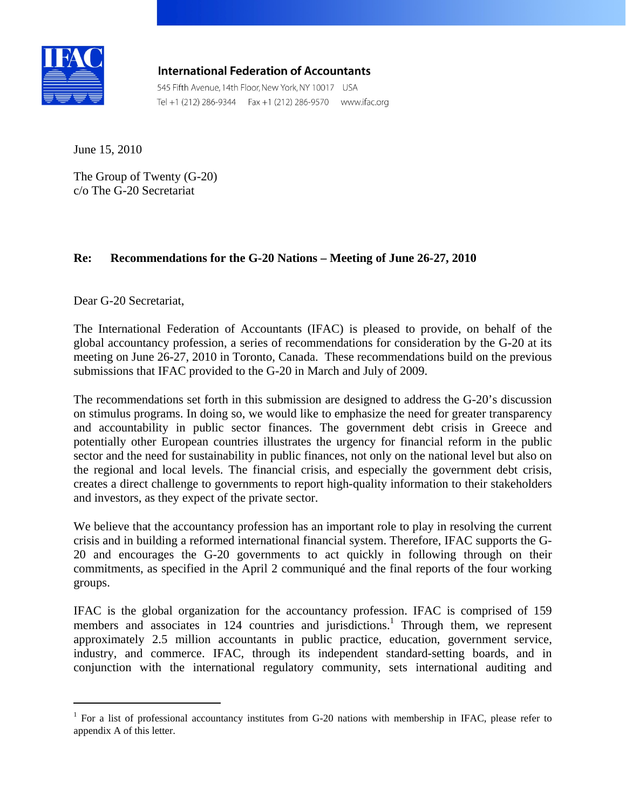

 $\overline{a}$ 

**International Federation of Accountants** 

545 Fifth Avenue, 14th Floor, New York, NY 10017 USA<br>Tel +1 (212) 286-9344 Fax +1 (212) 286-9570 www.ifac.org

June 15, 2010

The Group of Twenty (G-20) c/o The G-20 Secretariat

# **Re: Recommendations for the G-20 Nations – Meeting of June 26-27, 2010**

Dear G-20 Secretariat,

The International Federation of Accountants (IFAC) is pleased to provide, on behalf of the global accountancy profession, a series of recommendations for consideration by the G-20 at its meeting on June 26-27, 2010 in Toronto, Canada. These recommendations build on the previous submissions that IFAC provided to the G-20 in March and July of 2009.

The recommendations set forth in this submission are designed to address the G-20's discussion on stimulus programs. In doing so, we would like to emphasize the need for greater transparency and accountability in public sector finances. The government debt crisis in Greece and potentially other European countries illustrates the urgency for financial reform in the public sector and the need for sustainability in public finances, not only on the national level but also on the regional and local levels. The financial crisis, and especially the government debt crisis, creates a direct challenge to governments to report high-quality information to their stakeholders and investors, as they expect of the private sector.

We believe that the accountancy profession has an important role to play in resolving the current crisis and in building a reformed international financial system. Therefore, IFAC supports the G-20 and encourages the G-20 governments to act quickly in following through on their commitments, as specified in the April 2 communiqué and the final reports of the four working groups.

IFAC is the global organization for the accountancy profession. IFAC is comprised of 159 members and associates in 124 countries and jurisdictions.<sup>1</sup> Through them, we represent approximately 2.5 million accountants in public practice, education, government service, industry, and commerce. IFAC, through its independent standard-setting boards, and in conjunction with the international regulatory community, sets international auditing and

<sup>&</sup>lt;sup>1</sup> For a list of professional accountancy institutes from G-20 nations with membership in IFAC, please refer to appendix A of this letter.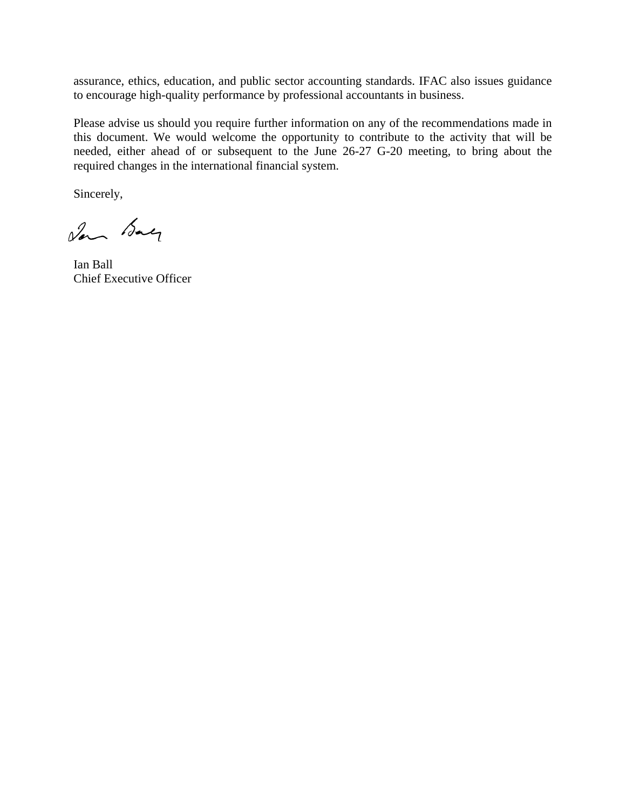assurance, ethics, education, and public sector accounting standards. IFAC also issues guidance to encourage high-quality performance by professional accountants in business.

Please advise us should you require further information on any of the recommendations made in this document. We would welcome the opportunity to contribute to the activity that will be needed, either ahead of or subsequent to the June 26-27 G-20 meeting, to bring about the required changes in the international financial system.

Sincerely,

San Bay

Ian Ball Chief Executive Officer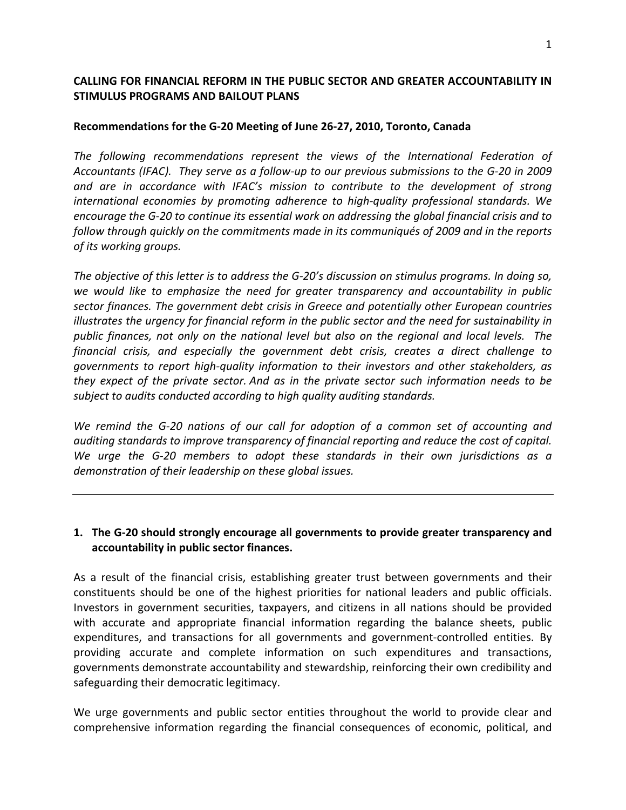### **CALLING FOR FINANCIAL REFORM IN THE PUBLIC SECTOR AND GREATER ACCOUNTABILITY IN STIMULUS PROGRAMS AND BAILOUT PLANS**

#### **Recommendations for the G‐20 Meeting of June 26‐27, 2010, Toronto, Canada**

*The following recommendations represent the views of the International Federation of* Accountants (IFAC). They serve as a follow-up to our previous submissions to the G-20 in 2009 *and are in accordance with IFAC's mission to contribute to the development of strong international economies by promoting adherence to high‐quality professional standards. We encourage the G‐20 to continue its essential work on addressing the global financial crisis and to follow through quickly on the commitments made in its communiqués of 2009 and in the reports of its working groups.* 

The objective of this letter is to address the G-20's discussion on stimulus programs. In doing so, *we would like to emphasize the need for greater transparency and accountability in public sector finances. The government debt crisis in Greece and potentially other European countries illustrates the urgency for financial reform in the public sector and the need for sustainability in public finances, not only on the national level but also on the regional and local levels. The financial crisis, and especially the government debt crisis, creates a direct challenge to governments to report high‐quality information to their investors and other stakeholders, as they expect of the private sector. And as in the private sector such information needs to be subject to audits conducted according to high quality auditing standards.* 

*We remind the G‐20 nations of our call for adoption of a common set of accounting and auditing standards to improve transparency of financial reporting and reduce the cost of capital. We urge the G‐20 members to adopt these standards in their own jurisdictions as a demonstration of their leadership on these global issues.*

### **1. The G‐20 should strongly encourage all governments to provide greater transparency and accountability in public sector finances.**

As a result of the financial crisis, establishing greater trust between governments and their constituents should be one of the highest priorities for national leaders and public officials. Investors in government securities, taxpayers, and citizens in all nations should be provided with accurate and appropriate financial information regarding the balance sheets, public expenditures, and transactions for all governments and government‐controlled entities. By providing accurate and complete information on such expenditures and transactions, governments demonstrate accountability and stewardship, reinforcing their own credibility and safeguarding their democratic legitimacy.

We urge governments and public sector entities throughout the world to provide clear and comprehensive information regarding the financial consequences of economic, political, and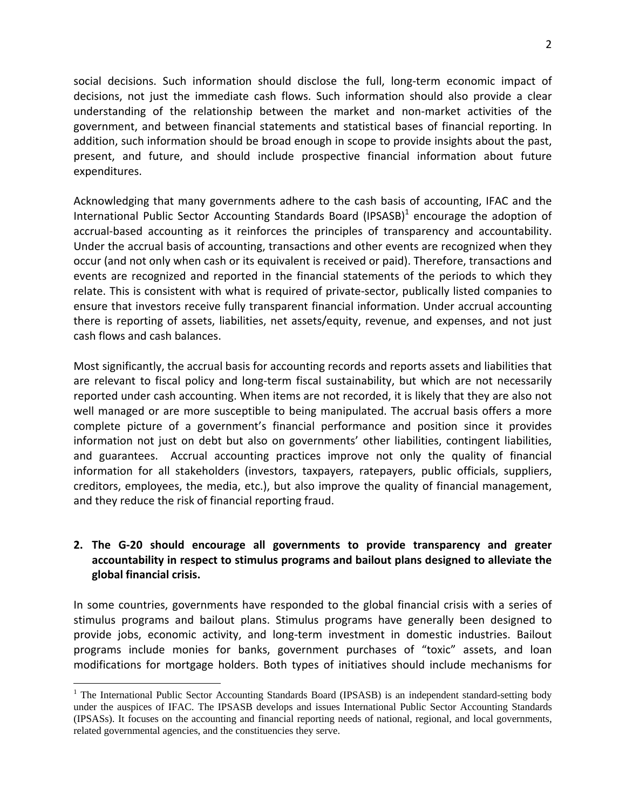social decisions. Such information should disclose the full, long-term economic impact of decisions, not just the immediate cash flows. Such information should also provide a clear understanding of the relationship between the market and non‐market activities of the government, and between financial statements and statistical bases of financial reporting. In addition, such information should be broad enough in scope to provide insights about the past, present, and future, and should include prospective financial information about future expenditures.

Acknowledging that many governments adhere to the cash basis of accounting, IFAC and the International Public Sector Accounting Standards Board (IPSASB) $<sup>1</sup>$  encourage the adoption of</sup> accrual-based accounting as it reinforces the principles of transparency and accountability. Under the accrual basis of accounting, transactions and other events are recognized when they occur (and not only when cash or its equivalent is received or paid). Therefore, transactions and events are recognized and reported in the financial statements of the periods to which they relate. This is consistent with what is required of private‐sector, publically listed companies to ensure that investors receive fully transparent financial information. Under accrual accounting there is reporting of assets, liabilities, net assets/equity, revenue, and expenses, and not just cash flows and cash balances.

Most significantly, the accrual basis for accounting records and reports assets and liabilities that are relevant to fiscal policy and long-term fiscal sustainability, but which are not necessarily reported under cash accounting. When items are not recorded, it is likely that they are also not well managed or are more susceptible to being manipulated. The accrual basis offers a more complete picture of a government's financial performance and position since it provides information not just on debt but also on governments' other liabilities, contingent liabilities, and guarantees. Accrual accounting practices improve not only the quality of financial information for all stakeholders (investors, taxpayers, ratepayers, public officials, suppliers, creditors, employees, the media, etc.), but also improve the quality of financial management, and they reduce the risk of financial reporting fraud.

# **2. The G‐20 should encourage all governments to provide transparency and greater accountability in respect to stimulus programs and bailout plans designed to alleviate the global financial crisis.**

In some countries, governments have responded to the global financial crisis with a series of stimulus programs and bailout plans. Stimulus programs have generally been designed to provide jobs, economic activity, and long-term investment in domestic industries. Bailout programs include monies for banks, government purchases of "toxic" assets, and loan modifications for mortgage holders. Both types of initiatives should include mechanisms for

 $\overline{a}$ 

<sup>&</sup>lt;sup>1</sup> The International Public Sector Accounting Standards Board (IPSASB) is an independent standard-setting body under the auspices of IFAC. The IPSASB develops and issues International Public Sector Accounting Standards (IPSASs). It focuses on the accounting and financial reporting needs of national, regional, and local governments, related governmental agencies, and the constituencies they serve.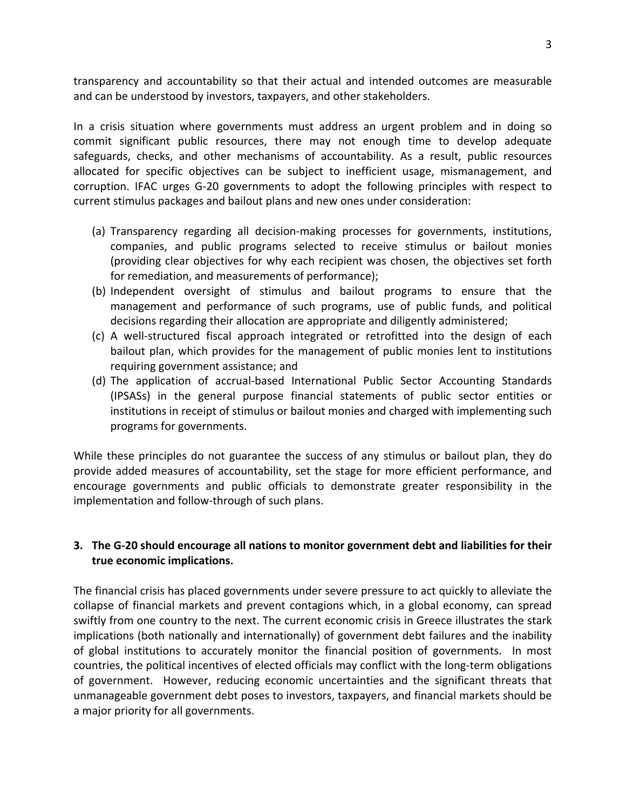transparency and accountability so that their actual and intended outcomes are measurable and can be understood by investors, taxpayers, and other stakeholders.

In a crisis situation where governments must address an urgent problem and in doing so commit significant public resources, there may not enough time to develop adequate safeguards, checks, and other mechanisms of accountability. As a result, public resources allocated for specific objectives can be subject to inefficient usage, mismanagement, and corruption. IFAC urges G‐20 governments to adopt the following principles with respect to current stimulus packages and bailout plans and new ones under consideration:

- (a) Transparency regarding all decision‐making processes for governments, institutions, companies, and public programs selected to receive stimulus or bailout monies (providing clear objectives for why each recipient was chosen, the objectives set forth for remediation, and measurements of performance);
- (b) Independent oversight of stimulus and bailout programs to ensure that the management and performance of such programs, use of public funds, and political decisions regarding their allocation are appropriate and diligently administered;
- (c) A well‐structured fiscal approach integrated or retrofitted into the design of each bailout plan, which provides for the management of public monies lent to institutions requiring government assistance; and
- (d) The application of accrual‐based International Public Sector Accounting Standards (IPSASs) in the general purpose financial statements of public sector entities or institutions in receipt of stimulus or bailout monies and charged with implementing such programs for governments.

While these principles do not guarantee the success of any stimulus or bailout plan, they do provide added measures of accountability, set the stage for more efficient performance, and encourage governments and public officials to demonstrate greater responsibility in the implementation and follow-through of such plans.

# **3. The G‐20 should encourage all nations to monitor government debt and liabilities for their true economic implications.**

The financial crisis has placed governments under severe pressure to act quickly to alleviate the collapse of financial markets and prevent contagions which, in a global economy, can spread swiftly from one country to the next. The current economic crisis in Greece illustrates the stark implications (both nationally and internationally) of government debt failures and the inability of global institutions to accurately monitor the financial position of governments. In most countries, the political incentives of elected officials may conflict with the long‐term obligations of government. However, reducing economic uncertainties and the significant threats that unmanageable government debt poses to investors, taxpayers, and financial markets should be a major priority for all governments.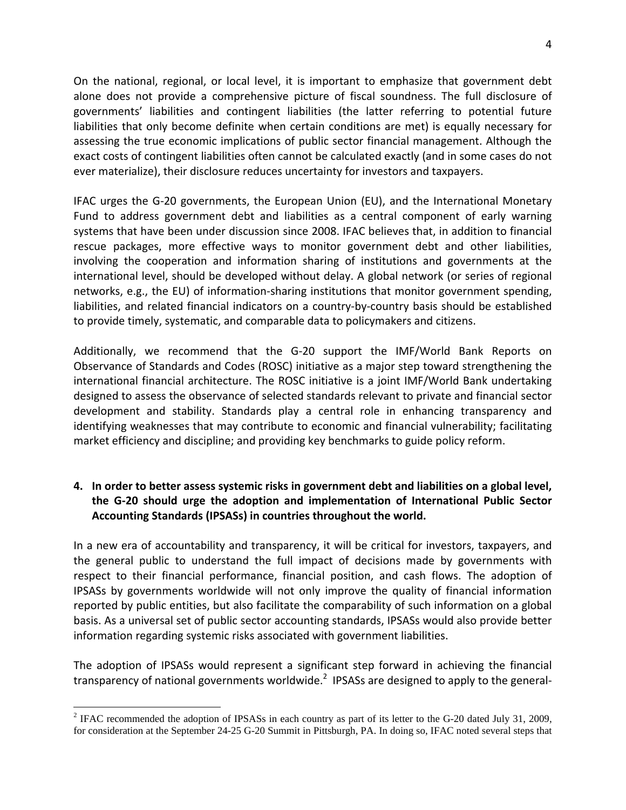On the national, regional, or local level, it is important to emphasize that government debt alone does not provide a comprehensive picture of fiscal soundness. The full disclosure of governments' liabilities and contingent liabilities (the latter referring to potential future liabilities that only become definite when certain conditions are met) is equally necessary for assessing the true economic implications of public sector financial management. Although the exact costs of contingent liabilities often cannot be calculated exactly (and in some cases do not ever materialize), their disclosure reduces uncertainty for investors and taxpayers.

IFAC urges the G‐20 governments, the European Union (EU), and the International Monetary Fund to address government debt and liabilities as a central component of early warning systems that have been under discussion since 2008. IFAC believes that, in addition to financial rescue packages, more effective ways to monitor government debt and other liabilities, involving the cooperation and information sharing of institutions and governments at the international level, should be developed without delay. A global network (or series of regional networks, e.g., the EU) of information-sharing institutions that monitor government spending, liabilities, and related financial indicators on a country‐by‐country basis should be established to provide timely, systematic, and comparable data to policymakers and citizens.

Additionally, we recommend that the G‐20 support the IMF/World Bank Reports on Observance of Standards and Codes (ROSC) initiative as a major step toward strengthening the international financial architecture. The ROSC initiative is a joint IMF/World Bank undertaking designed to assess the observance of selected standards relevant to private and financial sector development and stability. Standards play a central role in enhancing transparency and identifying weaknesses that may contribute to economic and financial vulnerability; facilitating market efficiency and discipline; and providing key benchmarks to guide policy reform.

# **4. In order to better assess systemic risks in government debt and liabilities on a global level, the G‐20 should urge the adoption and implementation of International Public Sector Accounting Standards (IPSASs) in countries throughout the world.**

In a new era of accountability and transparency, it will be critical for investors, taxpayers, and the general public to understand the full impact of decisions made by governments with respect to their financial performance, financial position, and cash flows. The adoption of IPSASs by governments worldwide will not only improve the quality of financial information reported by public entities, but also facilitate the comparability of such information on a global basis. As a universal set of public sector accounting standards, IPSASs would also provide better information regarding systemic risks associated with government liabilities.

The adoption of IPSASs would represent a significant step forward in achieving the financial transparency of national governments worldwide.<sup>2</sup> IPSASs are designed to apply to the general-

 $\overline{a}$ 

<sup>&</sup>lt;sup>2</sup> IFAC recommended the adoption of IPSASs in each country as part of its letter to the G-20 dated July 31, 2009, for consideration at the September 24-25 G-20 Summit in Pittsburgh, PA. In doing so, IFAC noted several steps that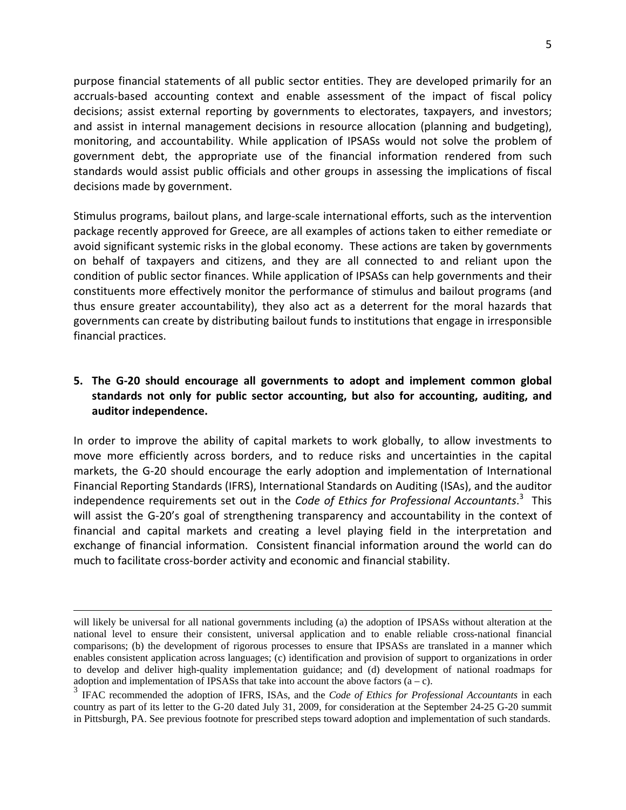purpose financial statements of all public sector entities. They are developed primarily for an accruals‐based accounting context and enable assessment of the impact of fiscal policy decisions; assist external reporting by governments to electorates, taxpayers, and investors; and assist in internal management decisions in resource allocation (planning and budgeting), monitoring, and accountability. While application of IPSASs would not solve the problem of government debt, the appropriate use of the financial information rendered from such standards would assist public officials and other groups in assessing the implications of fiscal decisions made by government.

Stimulus programs, bailout plans, and large‐scale international efforts, such as the intervention package recently approved for Greece, are all examples of actions taken to either remediate or avoid significant systemic risks in the global economy. These actions are taken by governments on behalf of taxpayers and citizens, and they are all connected to and reliant upon the condition of public sector finances. While application of IPSASs can help governments and their constituents more effectively monitor the performance of stimulus and bailout programs (and thus ensure greater accountability), they also act as a deterrent for the moral hazards that governments can create by distributing bailout funds to institutions that engage in irresponsible financial practices.

# **5. The G‐20 should encourage all governments to adopt and implement common global standards not only for public sector accounting, but also for accounting, auditing, and auditor independence.**

In order to improve the ability of capital markets to work globally, to allow investments to move more efficiently across borders, and to reduce risks and uncertainties in the capital markets, the G‐20 should encourage the early adoption and implementation of International Financial Reporting Standards (IFRS), International Standards on Auditing (ISAs), and the auditor independence requirements set out in the *Code of Ethics for Professional Accountants*. 3 This will assist the G-20's goal of strengthening transparency and accountability in the context of financial and capital markets and creating a level playing field in the interpretation and exchange of financial information. Consistent financial information around the world can do much to facilitate cross‐border activity and economic and financial stability.

will likely be universal for all national governments including (a) the adoption of IPSASs without alteration at the national level to ensure their consistent, universal application and to enable reliable cross-national financial comparisons; (b) the development of rigorous processes to ensure that IPSASs are translated in a manner which enables consistent application across languages; (c) identification and provision of support to organizations in order to develop and deliver high-quality implementation guidance; and (d) development of national roadmaps for adoption and implementation of IPSASs that take into account the above factors  $(a - c)$ .

<sup>3</sup> IFAC recommended the adoption of IFRS, ISAs, and the *Code of Ethics for Professional Accountants* in each country as part of its letter to the G-20 dated July 31, 2009, for consideration at the September 24-25 G-20 summit in Pittsburgh, PA. See previous footnote for prescribed steps toward adoption and implementation of such standards.